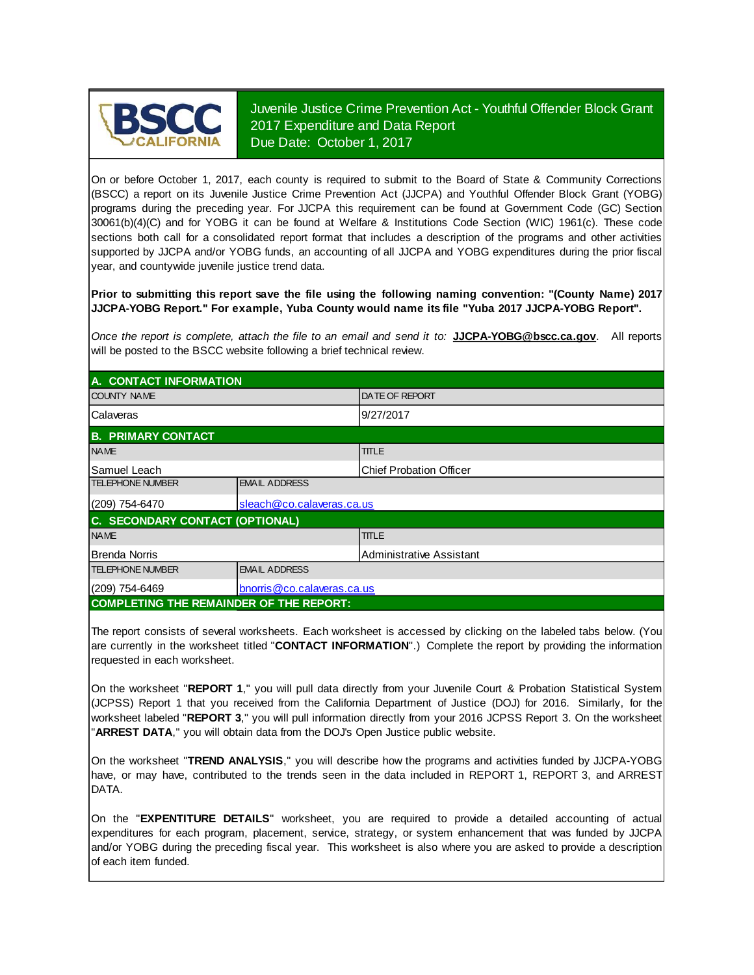

Juvenile Justice Crime Prevention Act - Youthful Offender Block Grant 2017 Expenditure and Data Report Due Date: October 1, 2017

On or before October 1, 2017, each county is required to submit to the Board of State & Community Corrections (BSCC) <sup>a</sup> report on its Juvenile Justice Crime Prevention Act (JJCPA) and Youthful Offender Block Grant (YOBG) programs during the preceding year. For JJCPA this requirement can be found at Government Code (GC) Section 30061(b)(4)(C) and for YOBG it can be found at Welfare & Institutions Code Section (WIC) 1961(c). These code sections both call for <sup>a</sup> consolidated report format that includes <sup>a</sup> description of the programs and other activities supported by JJCPA and/or YOBG funds, an accounting of all JJCPA and YOBG expenditures during the prior fiscal year, and countywide juvenile justice trend data.

**Prior to submitting this report save the file using the following naming convention: "(County Name) 2017 JJCPA-YOBG Report." For example, Yuba County would name its file "Yuba 2017 JJCPA-YOBG Report".**

*Once the report is complete, attach the file t o an email and send it to:* **JJCPA-YOBG@bscc.ca.gov**. All reports will be posted to the BSCC website following a brief technical review.

| A. CONTACT INFORMATION                         |                             |                                |  |  |  |
|------------------------------------------------|-----------------------------|--------------------------------|--|--|--|
| <b>COUNTY NAME</b>                             |                             | <b>DATE OF REPORT</b>          |  |  |  |
| Calaveras                                      |                             | 9/27/2017                      |  |  |  |
| <b>B. PRIMARY CONTACT</b>                      |                             |                                |  |  |  |
| <b>NAME</b>                                    |                             | <b>TITLE</b>                   |  |  |  |
| Samuel Leach                                   |                             | <b>Chief Probation Officer</b> |  |  |  |
| <b>TELEPHONE NUMBER</b>                        | <b>EMAIL ADDRESS</b>        |                                |  |  |  |
| (209) 754-6470                                 | sleach@co.calaveras.ca.us   |                                |  |  |  |
| C. SECONDARY CONTACT (OPTIONAL)                |                             |                                |  |  |  |
| <b>NAME</b>                                    |                             | <b>TITLE</b>                   |  |  |  |
| <b>Brenda Norris</b>                           |                             | Administrative Assistant       |  |  |  |
| <b>TELEPHONE NUMBER</b>                        | <b>EMAIL ADDRESS</b>        |                                |  |  |  |
| $(209)$ 754-6469                               | bnorris @co.calaveras.ca.us |                                |  |  |  |
| <b>COMPLETING THE REMAINDER OF THE REPORT:</b> |                             |                                |  |  |  |

The report consists of several worksheets. Each worksheet is accessed by clicking on the labeled tabs below. (You are currently in the worksheet titled "**CONTACT INFORMATION**".) Complete the report by providing the information requested in each worksheet.

On the worksheet "**REPORT 1**, " you will pull data directly from your Juvenile Court & Probation Statistical System (JCPSS) Report 1 that you received from the California Department of Justice (DOJ) for 2016. Similarly, for the worksheet labeled "**REPORT 3**, " you will pull information directly from your 2016 JCPSS Report 3. On the worksheet "**ARREST DATA**," you will obtain data from the DOJ's Open Justice public website.

On the worksheet "**TREND ANALYSIS**, " you will describe how the programs and activities funded by JJCPA-YOBG have, or may have, contributed to the trends seen in the data included in REPORT 1, REPORT 3, and ARREST DATA.

On the "EXPENTITURE DETAILS" worksheet, you are required to provide a detailed accounting of actual expenditures for each program, placement, service, strategy, or system enhancement that was funded by JJCPA and/or YOBG during the preceding fiscal year. This worksheet is also where you are asked to provide a description of each item funded.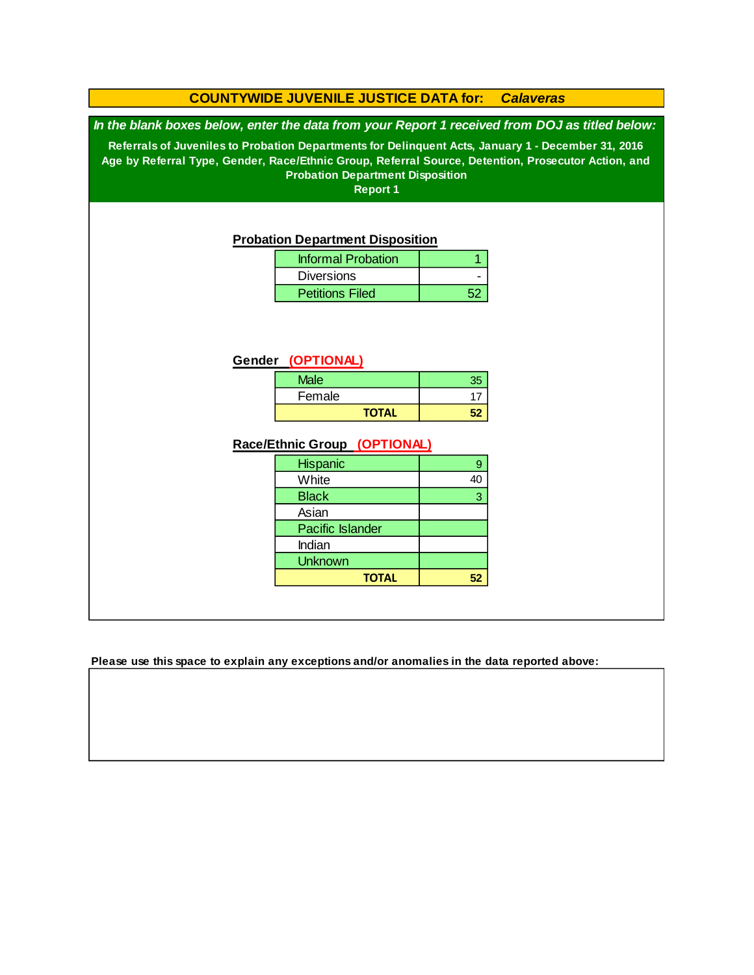## **COUNTYWIDE JUVENILE JUSTICE DATA for:** *Calaveras*

*In the blank boxes below, enter the data from your Report 1 received from DOJ as titled below:*

**Referrals of Juveniles to Probation Departments for Delinquent Acts, January 1 - December 31, 2016 Age by Referral Type, Gender, Race/Ethnic Group, Referral Source, Detention, Prosecutor Action, and Probation Department Disposition**

**Report 1**

#### **Probation Department Disposition**

| <b>Informal Probation</b> |  |
|---------------------------|--|
| <b>Diversions</b>         |  |
| <b>Petitions Filed</b>    |  |

#### **Gender (OPTIONAL)**

| <b>Male</b>  | 35 |
|--------------|----|
| Female       |    |
| <b>TOTAL</b> |    |

#### **Race/Ethnic Group (OPTIONAL)**

| <b>Hispanic</b>         |    |
|-------------------------|----|
| White                   | 40 |
| <b>Black</b>            | 3  |
| Asian                   |    |
| <b>Pacific Islander</b> |    |
| Indian                  |    |
| <b>Unknown</b>          |    |
| <b>TOTAL</b>            |    |

**Please use this space to explain any exceptions and/or anomalies in the data reported above:**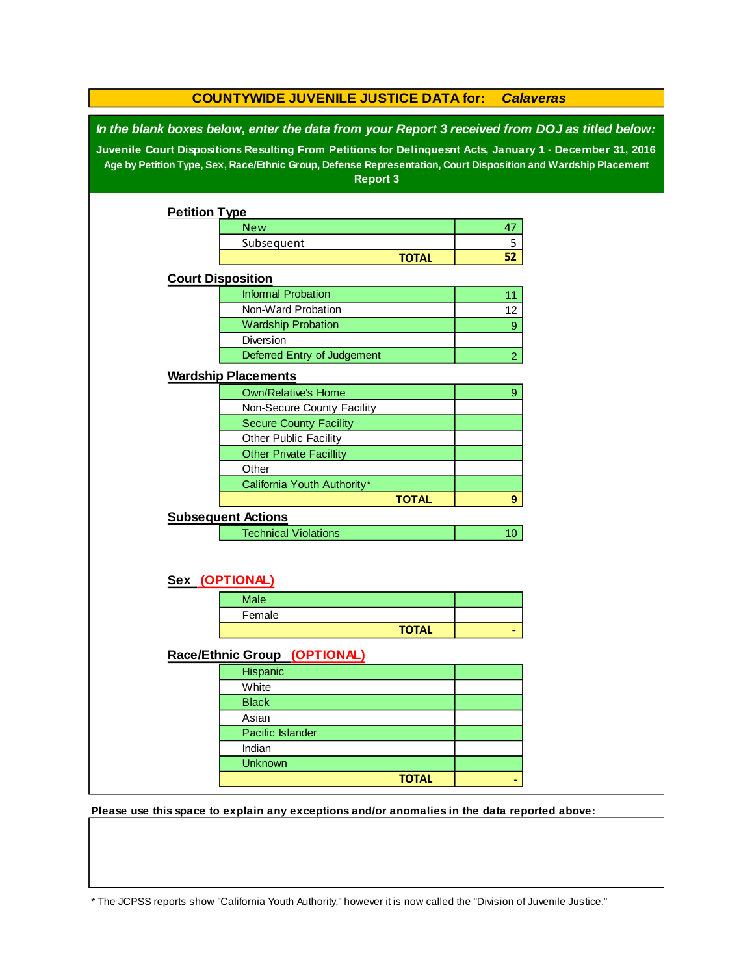| In the blank boxes below, enter the data from your Report 3 received from DOJ as titled below:<br>Juvenile Court Dispositions Resulting From Petitions for Delinquesnt Acts, January 1 - December 31, 2016 |  |
|------------------------------------------------------------------------------------------------------------------------------------------------------------------------------------------------------------|--|
| Age by Petition Type, Sex, Race/Ethnic Group, Defense Representation, Court Disposition and Wardship Placement                                                                                             |  |
| <b>Report 3</b>                                                                                                                                                                                            |  |
| <b>Petition Type</b>                                                                                                                                                                                       |  |
| <b>New</b><br>47                                                                                                                                                                                           |  |
| 5<br>Subsequent                                                                                                                                                                                            |  |
| 52<br><b>TOTAL</b>                                                                                                                                                                                         |  |
| <b>Court Disposition</b>                                                                                                                                                                                   |  |
| <b>Informal Probation</b><br>11                                                                                                                                                                            |  |
| Non-Ward Probation<br>12                                                                                                                                                                                   |  |
| <b>Wardship Probation</b><br>9                                                                                                                                                                             |  |
| Diversion                                                                                                                                                                                                  |  |
| Deferred Entry of Judgement<br>$\overline{2}$                                                                                                                                                              |  |
| <b>Wardship Placements</b>                                                                                                                                                                                 |  |
| <b>Own/Relative's Home</b><br>9                                                                                                                                                                            |  |
| Non-Secure County Facility                                                                                                                                                                                 |  |
| <b>Secure County Facility</b>                                                                                                                                                                              |  |
| Other Public Facility                                                                                                                                                                                      |  |
| <b>Other Private Facillity</b>                                                                                                                                                                             |  |
| Other                                                                                                                                                                                                      |  |
| California Youth Authority*                                                                                                                                                                                |  |
| <b>TOTAL</b><br>9                                                                                                                                                                                          |  |
| <b>Subsequent Actions</b>                                                                                                                                                                                  |  |
| <b>Technical Violations</b><br>10 <sup>°</sup>                                                                                                                                                             |  |
|                                                                                                                                                                                                            |  |
| Sex (OPTIONAL)                                                                                                                                                                                             |  |
| <b>Male</b>                                                                                                                                                                                                |  |
| Female                                                                                                                                                                                                     |  |
| <b>TOTAL</b>                                                                                                                                                                                               |  |
| Race/Ethnic Group (OPTIONAL)                                                                                                                                                                               |  |
| Hispanic                                                                                                                                                                                                   |  |
| White                                                                                                                                                                                                      |  |
| <b>Black</b>                                                                                                                                                                                               |  |
| Asian                                                                                                                                                                                                      |  |
| Pacific Islander                                                                                                                                                                                           |  |
| Indian                                                                                                                                                                                                     |  |
| <b>Unknown</b>                                                                                                                                                                                             |  |
| <b>TOTAL</b>                                                                                                                                                                                               |  |

**Please use this space to explain any exceptions and/or anomalies in the data reported above:** 

\* The JCPSS reports show "California Youth Authority," however it is now called the "Division of Juvenile Justice."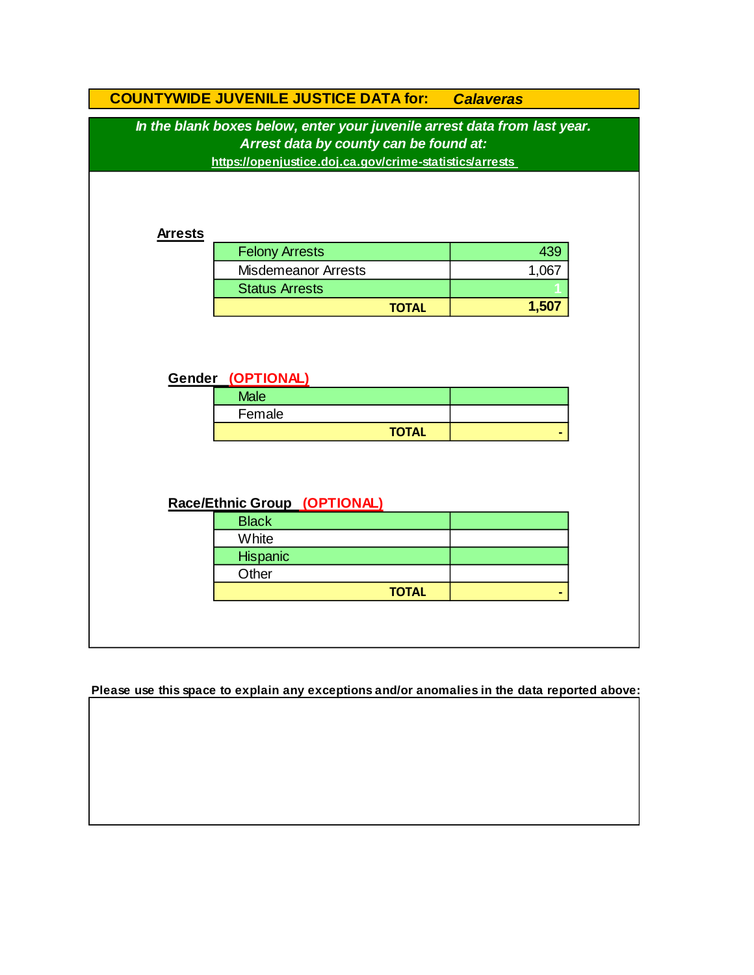|                | <b>COUNTYWIDE JUVENILE JUSTICE DATA for:</b>                              | <b>Calaveras</b> |
|----------------|---------------------------------------------------------------------------|------------------|
|                | In the blank boxes below, enter your juvenile arrest data from last year. |                  |
|                | Arrest data by county can be found at:                                    |                  |
|                | https://openjustice.doj.ca.gov/crime-statistics/arrests                   |                  |
|                |                                                                           |                  |
|                |                                                                           |                  |
|                |                                                                           |                  |
| <b>Arrests</b> |                                                                           |                  |
|                | <b>Felony Arrests</b>                                                     | 439              |
|                | <b>Misdemeanor Arrests</b>                                                | 1,067            |
|                | <b>Status Arrests</b>                                                     |                  |
|                | <b>TOTAL</b>                                                              | 1,507            |
|                | <b>Male</b>                                                               |                  |
|                | Gender (OPTIONAL)                                                         |                  |
|                | Female                                                                    |                  |
|                | <b>TOTAL</b>                                                              |                  |
|                |                                                                           |                  |
|                |                                                                           |                  |
|                |                                                                           |                  |
|                | Race/Ethnic Group (OPTIONAL)                                              |                  |
|                | <b>Black</b>                                                              |                  |
|                | White                                                                     |                  |
|                | Hispanic                                                                  |                  |
|                |                                                                           |                  |
|                |                                                                           |                  |
|                | Other                                                                     |                  |
|                | <b>TOTAL</b>                                                              |                  |

**Please use this space to explain any exceptions and/or anomalies in the data reported above:**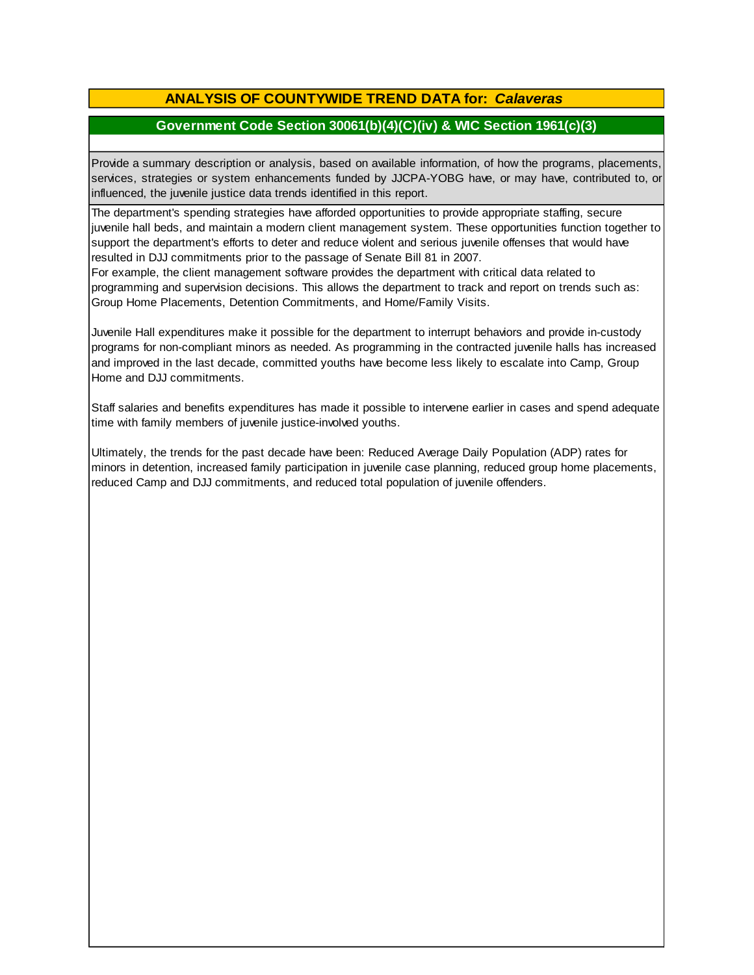# **ANALYSIS OF COUNTYWIDE TREND DATA for:** *Calaveras*

## **Government Code Section 30061(b)(4)(C)(iv) & WIC Section 1961(c)(3)**

Provide <sup>a</sup> summary description or analysis, based on available information, of how the programs, placements, services, strategies or system enhancements funded by JJCPA-YOBG have, or may have, contributed to, or influenced, the juvenile justice data trends identified in this report.

The department's spending strategies have afforded opportunities to provide appropriate staffing, secure juvenile hall beds, and maintain a modern client management system. These opportunities function together to support the department's efforts to deter and reduce violent and serious juvenile offenses that would have resulted in DJJ commitments prior to the passage of Senate Bill 81 in 2007.

For example, the client management software provides the department with critical data related to programming and supervision decisions. This allows the department to track and report on trends such as: Group Home Placements, Detention Commitments, and Home/Family Visits.

Juvenile Hall expenditures make it possible for the department to interrupt behaviors and provide in-custody programs for non-compliant minors as needed. As programming in the contracted juvenile halls has increased and improved in the last decade, committed youths have become less likely to escalate into Camp, Group Home and DJJ commitments.

Staff salaries and benefits expenditures has made it possible to intervene earlier in cases and spend adequate time with family members of juvenile justice-involved youths.

Ultimately, the trends for the past decade have been: Reduced Average Daily Population (ADP) rates for minors in detention, increased family participation in juvenile case planning, reduced group home placements, reduced Camp and DJJ commitments, and reduced total population of juvenile offenders.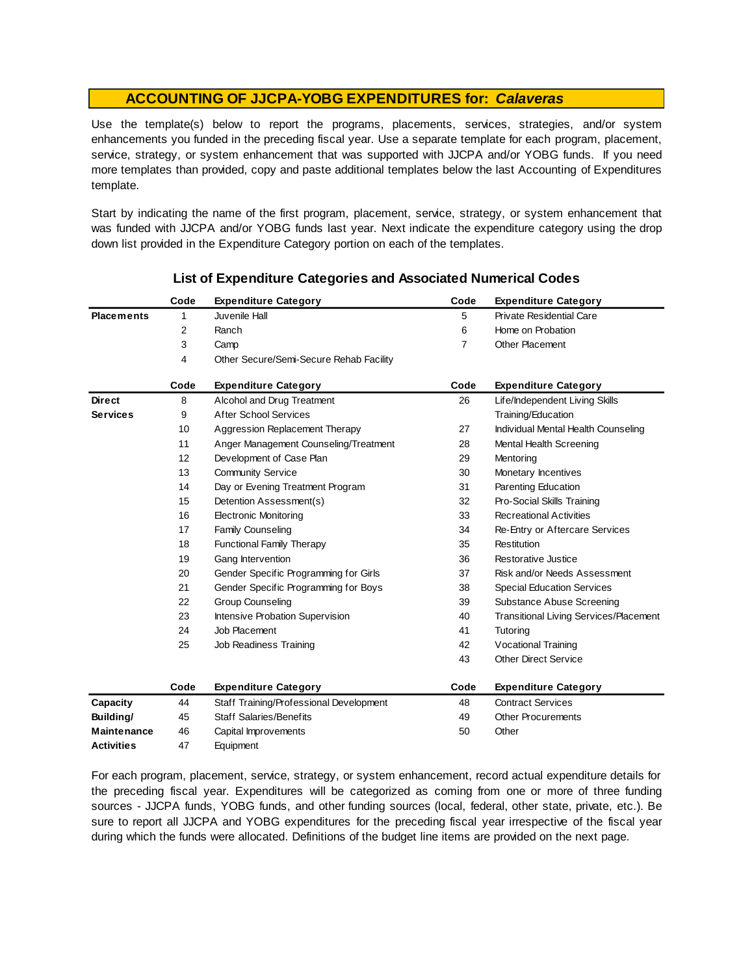Use the template(s) below to report the programs, placements, services, strategies, and/or system enhancements you funded in the preceding fiscal year. Use <sup>a</sup> separate template for each program, placement, service, strategy, or system enhancement that was supported with JJCPA and/or YOBG funds. If you need more templates than provided, copy and paste additional templates below the last Accounting of Expenditures template.

Start by indicating the name of the first program, placement, service, strategy, or system enhancement that was funded with JJCPA and/or YOBG funds last year. Next indicate the expenditure category using the drop down list provided in the Expenditure Category portion on each of the templates.

|                    | Code | <b>Expenditure Category</b>             | Code           | <b>Expenditure Category</b>                   |
|--------------------|------|-----------------------------------------|----------------|-----------------------------------------------|
| <b>Placements</b>  | 1    | Juvenile Hall                           | 5              | <b>Private Residential Care</b>               |
|                    | 2    | Ranch                                   | 6              | Home on Probation                             |
|                    | 3    | Camp                                    | $\overline{7}$ | Other Placement                               |
|                    | 4    | Other Secure/Semi-Secure Rehab Facility |                |                                               |
|                    | Code | <b>Expenditure Category</b>             | Code           | <b>Expenditure Category</b>                   |
| <b>Direct</b>      | 8    | Alcohol and Drug Treatment              | 26             | Life/Independent Living Skills                |
| <b>Services</b>    | 9    | <b>After School Services</b>            |                | Training/Education                            |
|                    | 10   | Aggression Replacement Therapy          | 27             | Individual Mental Health Counseling           |
|                    | 11   | Anger Management Counseling/Treatment   | 28             | Mental Health Screening                       |
|                    | 12   | Development of Case Plan                | 29             | Mentoring                                     |
|                    | 13   | <b>Community Service</b>                | 30             | Monetary Incentives                           |
|                    | 14   | Day or Evening Treatment Program        | 31             | Parenting Education                           |
|                    | 15   | Detention Assessment(s)                 | 32             | Pro-Social Skills Training                    |
|                    | 16   | <b>Electronic Monitoring</b>            | 33             | <b>Recreational Activities</b>                |
|                    | 17   | <b>Family Counseling</b>                | 34             | Re-Entry or Aftercare Services                |
|                    | 18   | <b>Functional Family Therapy</b>        | 35             | Restitution                                   |
|                    | 19   | Gang Intervention                       | 36             | Restorative Justice                           |
|                    | 20   | Gender Specific Programming for Girls   | 37             | Risk and/or Needs Assessment                  |
|                    | 21   | Gender Specific Programming for Boys    | 38             | <b>Special Education Services</b>             |
|                    | 22   | <b>Group Counseling</b>                 | 39             | Substance Abuse Screening                     |
|                    | 23   | Intensive Probation Supervision         | 40             | <b>Transitional Living Services/Placement</b> |
|                    | 24   | Job Placement                           | 41             | Tutoring                                      |
|                    | 25   | Job Readiness Training                  | 42             | Vocational Training                           |
|                    |      |                                         | 43             | <b>Other Direct Service</b>                   |
|                    | Code | <b>Expenditure Category</b>             | Code           | <b>Expenditure Category</b>                   |
| Capacity           | 44   | Staff Training/Professional Development | 48             | <b>Contract Services</b>                      |
| Building/          | 45   | <b>Staff Salaries/Benefits</b>          | 49             | <b>Other Procurements</b>                     |
| <b>Maintenance</b> | 46   | Capital Improvements                    | 50             | Other                                         |
| <b>Activities</b>  | 47   | Equipment                               |                |                                               |

## **List of Expenditure Categories and Associated Numerical Codes**

For each program, placement, service, strategy, or system enhancement, record actual expenditure details for the preceding fiscal year. Expenditures will be categorized as coming from one or more of three funding sources - JJCPA funds, YOBG funds, and other funding sources (local, federal, other state, private, etc.). Be sure to report all JJCPA and YOBG expenditures for the preceding fiscal year irrespective of the fiscal year during which the funds were allocated. Definitions of the budget line items are provided on the next page.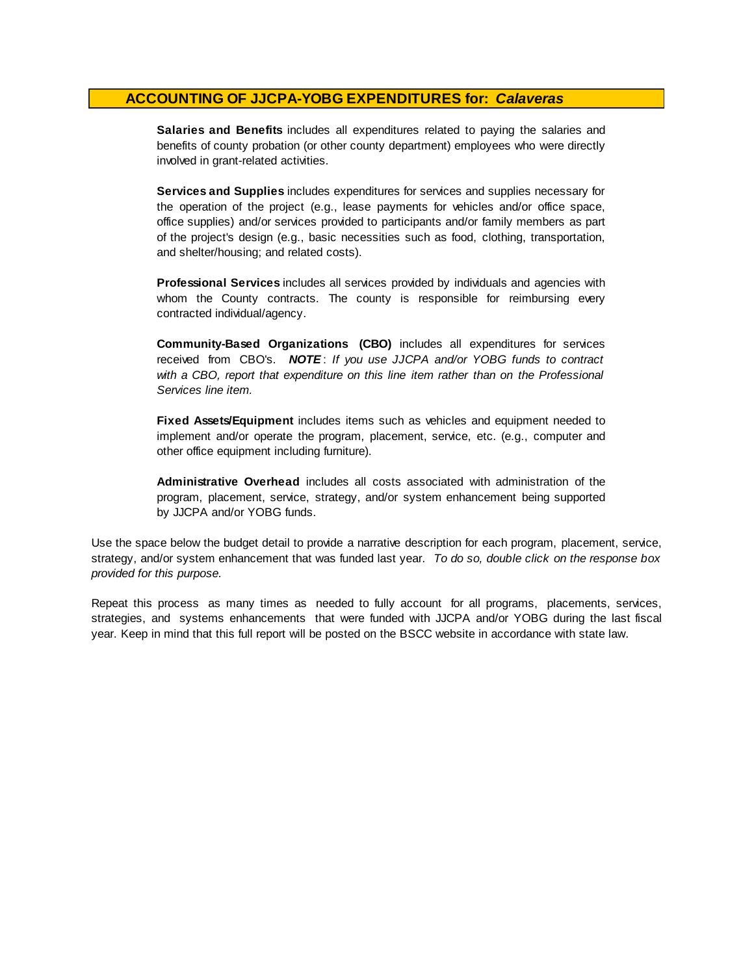**Salaries and Benefits** includes all expenditures related to paying the salaries and benefits of county probation (or other county department) employees who were directly involved in grant-related activities.

**Services and Supplies** includes expenditures for services and supplies necessary for the operation of the project (e.g., lease payments for vehicles and/or office space, office supplies) and/or services provided to participants and/or family members as part of the project's design (e.g., basic necessities such as food, clothing, transportation, and shelter/housing; and related costs).

**Professional Services** includes all services provided by individuals and agencies with whom the County contracts. The county is responsible for reimbursing every contracted individual/agency.

**Community-Based Organizations (CBO)** includes all expenditures for services received from CBO's. *NOTE* : *I f you use JJCPA and/or YOBG funds t o contract with <sup>a</sup> CBO, report that expenditure on this line item rather than on the Professional Services line item.*

**Fixed Assets/Equipment** includes items such as vehicles and equipment needed to implement and/or operate the program, placement, service, etc. (e.g., computer and other office equipment including furniture).

**Administrative Overhead** includes all costs associated with administration of the program, placement, service, strategy, and/or system enhancement being supported by JJCPA and/or YOBG funds.

Use the space below the budget detail to provide a narrative description for each program, placement, service, strategy, and/or system enhancement that was funded last year. *To do so, double click on the response box provided for this purpose.* 

Repeat this process as many times as needed to fully account for all programs, placements, services, strategies, and systems enhancements that were funded with JJCPA and/or YOBG during the last fiscal year. Keep in mind that this full report will be posted on the BSCC website in accordance with state law.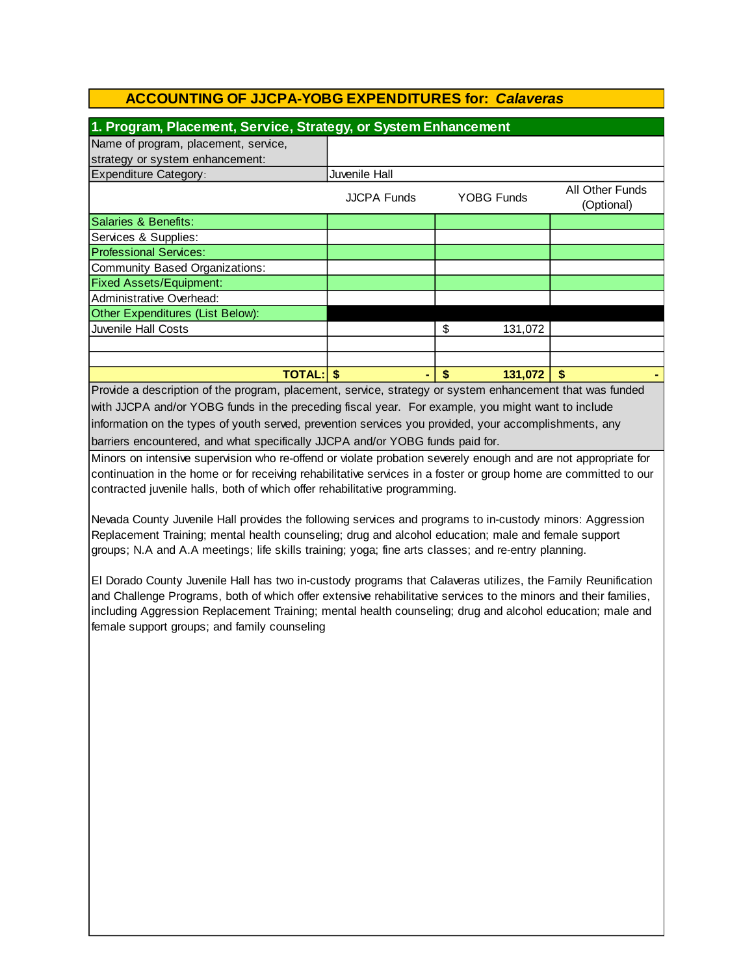| 1. Program, Placement, Service, Strategy, or System Enhancement                                                                         |                    |               |                               |  |  |  |
|-----------------------------------------------------------------------------------------------------------------------------------------|--------------------|---------------|-------------------------------|--|--|--|
| Name of program, placement, service,                                                                                                    |                    |               |                               |  |  |  |
| strategy or system enhancement:                                                                                                         |                    |               |                               |  |  |  |
| <b>Expenditure Category:</b>                                                                                                            | Juvenile Hall      |               |                               |  |  |  |
|                                                                                                                                         | <b>JJCPA Funds</b> | YOBG Funds    | All Other Funds<br>(Optional) |  |  |  |
| Salaries & Benefits:                                                                                                                    |                    |               |                               |  |  |  |
| Services & Supplies:                                                                                                                    |                    |               |                               |  |  |  |
| <b>Professional Services:</b>                                                                                                           |                    |               |                               |  |  |  |
| Community Based Organizations:                                                                                                          |                    |               |                               |  |  |  |
| <b>Fixed Assets/Equipment:</b>                                                                                                          |                    |               |                               |  |  |  |
| Administrative Overhead:                                                                                                                |                    |               |                               |  |  |  |
| Other Expenditures (List Below):                                                                                                        |                    |               |                               |  |  |  |
| Juvenile Hall Costs                                                                                                                     |                    | \$<br>131,072 |                               |  |  |  |
|                                                                                                                                         |                    |               |                               |  |  |  |
|                                                                                                                                         |                    |               |                               |  |  |  |
| <b>TOTAL: \$</b><br>and the contract of the contract of the contract of the contract of the contract of the contract of the contract of |                    | 131,072       |                               |  |  |  |

Provide a description of the program, placement, service, strategy or system enhancement that was funded with JJCPA and/or YOBG funds in the preceding fiscal year. For example, you might want to include information on the types of youth served, prevention services you provided, your accomplishments, any barriers encountered, and what specifically JJCPA and/or YOBG funds paid for.

Minors on intensive supervision who re-offend or violate probation severely enough and are not appropriate for continuation in the home or for receiving rehabilitative services in a foster or group home are committed to our contracted juvenile halls, both of which offer rehabilitative programming.

Nevada County Juvenile Hall provides the following services and programs to in-custody minors: Aggression Replacement Training; mental health counseling; drug and alcohol education; male and female support groups; N.A and A.A meetings; life skills training; yoga; fine arts classes; and re-entry planning.

El Dorado County Juvenile Hall has two in-custody programs that Calaveras utilizes, the Family Reunification and Challenge Programs, both of which offer extensive rehabilitative services to the minors and their families, including Aggression Replacement Training; mental health counseling; drug and alcohol education; male and female support groups; and family counseling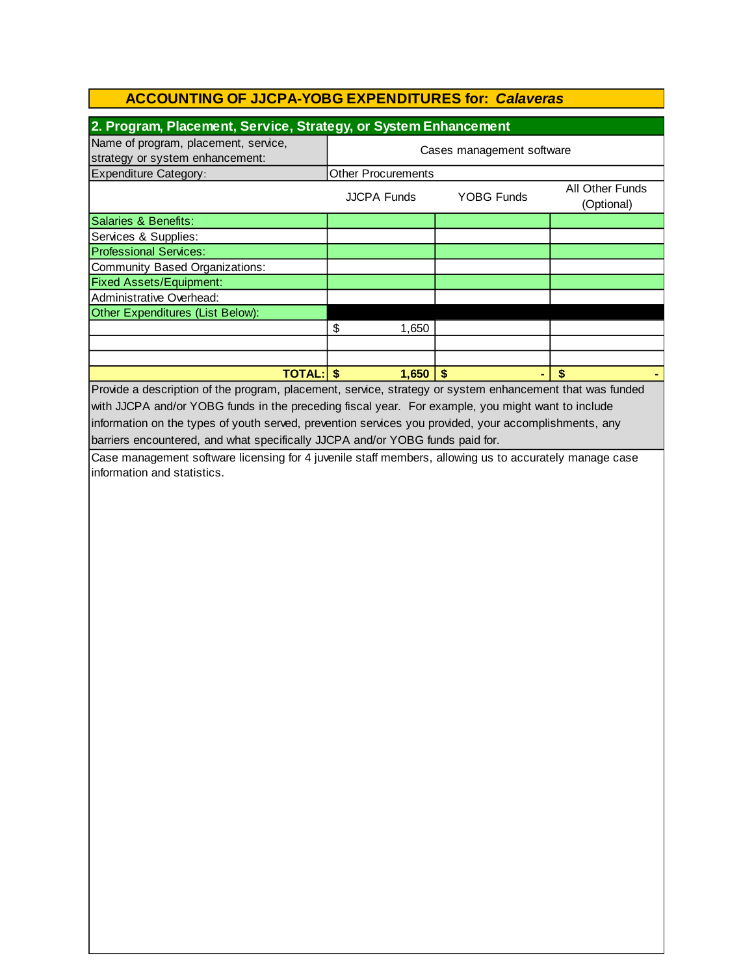| 2. Program, Placement, Service, Strategy, or System Enhancement                                                                       |                                         |  |                               |  |  |  |  |
|---------------------------------------------------------------------------------------------------------------------------------------|-----------------------------------------|--|-------------------------------|--|--|--|--|
| Name of program, placement, service,<br>strategy or system enhancement:                                                               | Cases management software               |  |                               |  |  |  |  |
| <b>Expenditure Category:</b>                                                                                                          | <b>Other Procurements</b>               |  |                               |  |  |  |  |
|                                                                                                                                       | <b>YOBG Funds</b><br><b>JJCPA Funds</b> |  | All Other Funds<br>(Optional) |  |  |  |  |
| Salaries & Benefits:                                                                                                                  |                                         |  |                               |  |  |  |  |
| Services & Supplies:                                                                                                                  |                                         |  |                               |  |  |  |  |
| <b>Professional Services:</b>                                                                                                         |                                         |  |                               |  |  |  |  |
| <b>Community Based Organizations:</b>                                                                                                 |                                         |  |                               |  |  |  |  |
| <b>Fixed Assets/Equipment:</b>                                                                                                        |                                         |  |                               |  |  |  |  |
| Administrative Overhead:                                                                                                              |                                         |  |                               |  |  |  |  |
| Other Expenditures (List Below):                                                                                                      |                                         |  |                               |  |  |  |  |
|                                                                                                                                       | \$<br>1,650                             |  |                               |  |  |  |  |
|                                                                                                                                       |                                         |  |                               |  |  |  |  |
|                                                                                                                                       |                                         |  |                               |  |  |  |  |
| <b>TOTAL: \$</b>                                                                                                                      | $1,650$ \$                              |  | \$                            |  |  |  |  |
| Provide a description of the program, placement, service, strategy or system enhancement that was funded                              |                                         |  |                               |  |  |  |  |
| with JJCPA and/or YOBG funds in the preceding fiscal year. For example, you might want to include                                     |                                         |  |                               |  |  |  |  |
| information on the types of youth served, prevention services you provided, your accomplishments, any                                 |                                         |  |                               |  |  |  |  |
| barriers encountered, and what specifically JJCPA and/or YOBG funds paid for.                                                         |                                         |  |                               |  |  |  |  |
|                                                                                                                                       |                                         |  |                               |  |  |  |  |
| Case management software licensing for 4 juvenile staff members, allowing us to accurately manage case<br>information and statistics. |                                         |  |                               |  |  |  |  |
|                                                                                                                                       |                                         |  |                               |  |  |  |  |